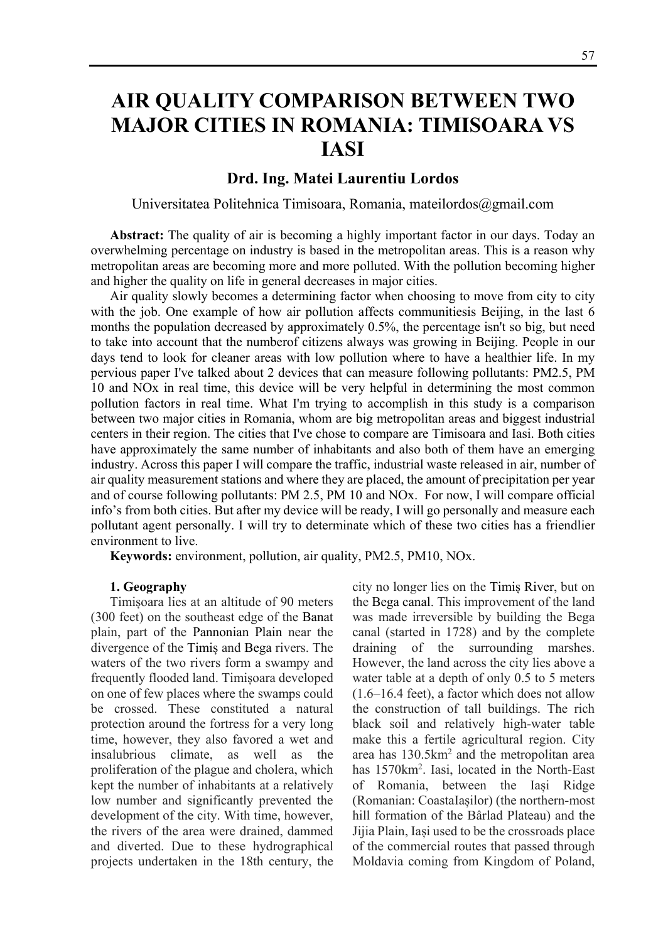# **AIR QUALITY COMPARISON BETWEEN TWO MAJOR CITIES IN ROMANIA: TIMISOARA VS IASI**

# **Drd. Ing. Matei Laurentiu Lordos**

Universitatea Politehnica Timisoara, Romania, mateilordos@gmail.com

**Abstract:** The quality of air is becoming a highly important factor in our days. Today an overwhelming percentage on industry is based in the metropolitan areas. This is a reason why metropolitan areas are becoming more and more polluted. With the pollution becoming higher and higher the quality on life in general decreases in major cities.

Air quality slowly becomes a determining factor when choosing to move from city to city with the job. One example of how air pollution affects communitiesis Beijing, in the last 6 months the population decreased by approximately 0.5%, the percentage isn't so big, but need to take into account that the numberof citizens always was growing in Beijing. People in our days tend to look for cleaner areas with low pollution where to have a healthier life. In my pervious paper I've talked about 2 devices that can measure following pollutants: PM2.5, PM 10 and NOx in real time, this device will be very helpful in determining the most common pollution factors in real time. What I'm trying to accomplish in this study is a comparison between two major cities in Romania, whom are big metropolitan areas and biggest industrial centers in their region. The cities that I've chose to compare are Timisoara and Iasi. Both cities have approximately the same number of inhabitants and also both of them have an emerging industry. Across this paper I will compare the traffic, industrial waste released in air, number of air quality measurement stations and where they are placed, the amount of precipitation per year and of course following pollutants: PM 2.5, PM 10 and NOx. For now, I will compare official info's from both cities. But after my device will be ready, I will go personally and measure each pollutant agent personally. I will try to determinate which of these two cities has a friendlier environment to live.

**Keywords:** environment, pollution, air quality, PM2.5, PM10, NOx.

#### **1. Geography**

Timișoara lies at an altitude of 90 meters (300 feet) on the southeast edge of the Banat plain, part of the Pannonian Plain near the divergence of the Timiș and Bega rivers. The waters of the two rivers form a swampy and frequently flooded land. Timișoara developed on one of few places where the swamps could be crossed. These constituted a natural protection around the fortress for a very long time, however, they also favored a wet and insalubrious climate, as well as the proliferation of the plague and cholera, which kept the number of inhabitants at a relatively low number and significantly prevented the development of the city. With time, however, the rivers of the area were drained, dammed and diverted. Due to these hydrographical projects undertaken in the 18th century, the

city no longer lies on the Timiș River, but on the Bega canal. This improvement of the land was made irreversible by building the Bega canal (started in 1728) and by the complete draining of the surrounding marshes. However, the land across the city lies above a water table at a depth of only 0.5 to 5 meters (1.6–16.4 feet), a factor which does not allow the construction of tall buildings. The rich black soil and relatively high-water table make this a fertile agricultural region. City area has 130.5km<sup>2</sup> and the metropolitan area has 1570km2 . Iasi, located in the North-East of Romania, between the Iași Ridge (Romanian: CoastaIașilor) (the northern-most hill formation of the Bârlad Plateau) and the Jijia Plain, Iași used to be the crossroads place of the commercial routes that passed through Moldavia coming from Kingdom of Poland,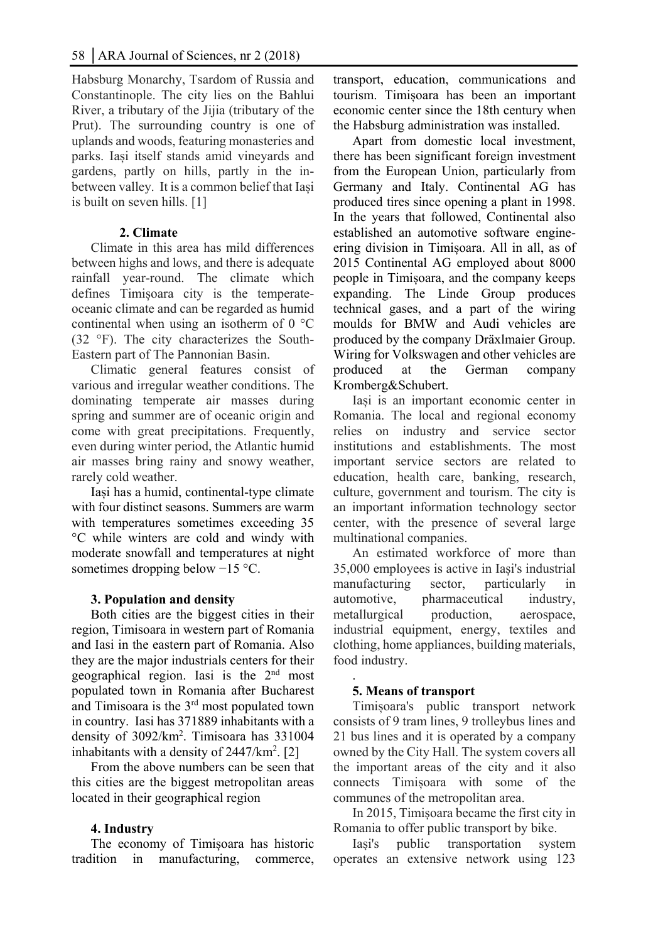Habsburg Monarchy, Tsardom of Russia and Constantinople. The city lies on the Bahlui River, a tributary of the Jijia (tributary of the Prut). The surrounding country is one of uplands and woods, featuring monasteries and parks. Iași itself stands amid vineyards and gardens, partly on hills, partly in the inbetween valley. It is a common belief that Iași is built on seven hills. [1]

# **2. Climate**

Climate in this area has mild differences between highs and lows, and there is adequate rainfall year-round. The climate which defines Timișoara city is the temperateoceanic climate and can be regarded as humid continental when using an isotherm of 0 °C (32 °F). The city characterizes the South-Eastern part of The Pannonian Basin.

Climatic general features consist of various and irregular weather conditions. The dominating temperate air masses during spring and summer are of oceanic origin and come with great precipitations. Frequently, even during winter period, the Atlantic humid air masses bring rainy and snowy weather, rarely cold weather.

Iași has a humid, continental-type climate with four distinct seasons. Summers are warm with temperatures sometimes exceeding 35 °C while winters are cold and windy with moderate snowfall and temperatures at night sometimes dropping below −15 °C.

# **3. Population and density**

Both cities are the biggest cities in their region, Timisoara in western part of Romania and Iasi in the eastern part of Romania. Also they are the major industrials centers for their geographical region. Iasi is the 2nd most populated town in Romania after Bucharest and Timisoara is the 3rd most populated town in country. Iasi has 371889 inhabitants with a density of 3092/km2 . Timisoara has 331004 inhabitants with a density of  $2447/km^2$ . [2]

From the above numbers can be seen that this cities are the biggest metropolitan areas located in their geographical region

# **4. Industry**

The economy of Timișoara has historic tradition in manufacturing, commerce,

transport, education, communications and tourism. Timișoara has been an important economic center since the 18th century when the Habsburg administration was installed.

Apart from domestic local investment, there has been significant foreign investment from the European Union, particularly from Germany and Italy. Continental AG has produced tires since opening a plant in 1998. In the years that followed, Continental also established an automotive software engineering division in Timișoara. All in all, as of 2015 Continental AG employed about 8000 people in Timișoara, and the company keeps expanding. The Linde Group produces technical gases, and a part of the wiring moulds for BMW and Audi vehicles are produced by the company Dräxlmaier Group. Wiring for Volkswagen and other vehicles are produced at the German company Kromberg&Schubert.

Iași is an important economic center in Romania. The local and regional economy relies on industry and service sector institutions and establishments. The most important service sectors are related to education, health care, banking, research, culture, government and tourism. The city is an important information technology sector center, with the presence of several large multinational companies.

An estimated workforce of more than 35,000 employees is active in Iași's industrial manufacturing sector, particularly in automotive, pharmaceutical industry, metallurgical production, aerospace, industrial equipment, energy, textiles and clothing, home appliances, building materials, food industry.

#### . **5. Means of transport**

Timișoara's public transport network consists of 9 tram lines, 9 trolleybus lines and 21 bus lines and it is operated by a company owned by the City Hall. The system covers all the important areas of the city and it also connects Timișoara with some of the communes of the metropolitan area.

In 2015, Timișoara became the first city in Romania to offer public transport by bike.

Iași's public transportation system operates an extensive network using 123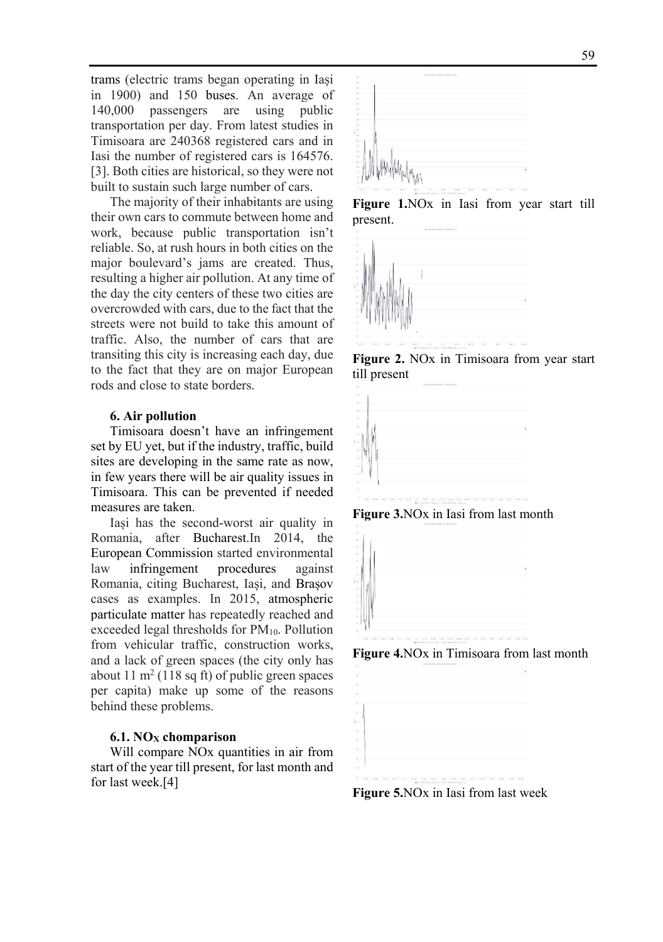trams (electric trams began operating in Iași in 1900) and 150 buses. An average of 140,000 passengers are using public transportation per day. From latest studies in Timisoara are 240368 registered cars and in Iasi the number of registered cars is 164576. [3]. Both cities are historical, so they were not built to sustain such large number of cars.

The majority of their inhabitants are using their own cars to commute between home and work, because public transportation isn't reliable. So, at rush hours in both cities on the major boulevard's jams are created. Thus, resulting a higher air pollution. At any time of the day the city centers of these two cities are overcrowded with cars, due to the fact that the streets were not build to take this amount of traffic. Also, the number of cars that are transiting this city is increasing each day, due to the fact that they are on major European rods and close to state borders.

#### **6. Air pollution**

Timisoara doesn't have an infringement set by EU yet, but if the industry, traffic, build sites are developing in the same rate as now, in few years there will be air quality issues in Timisoara. This can be prevented if needed measures are taken.

Iași has the second-worst air quality in Romania, after Bucharest.In 2014, the European Commission started environmental law infringement procedures against Romania, citing Bucharest, Iași, and Brașov cases as examples. In 2015, atmospheric particulate matter has repeatedly reached and exceeded legal thresholds for PM10. Pollution from vehicular traffic, construction works, and a lack of green spaces (the city only has about  $11 \text{ m}^2$  (118 sq ft) of public green spaces per capita) make up some of the reasons behind these problems.

#### **6.1. NOX chomparison**

Will compare NOx quantities in air from start of the year till present, for last month and for last week.[4]



**Figure 1.**NOx in Iasi from year start till present.







**Figure 3.**NOx in Iasi from last month



**Figure 4.**NOx in Timisoara from last month



**Figure 5.**NOx in Iasi from last week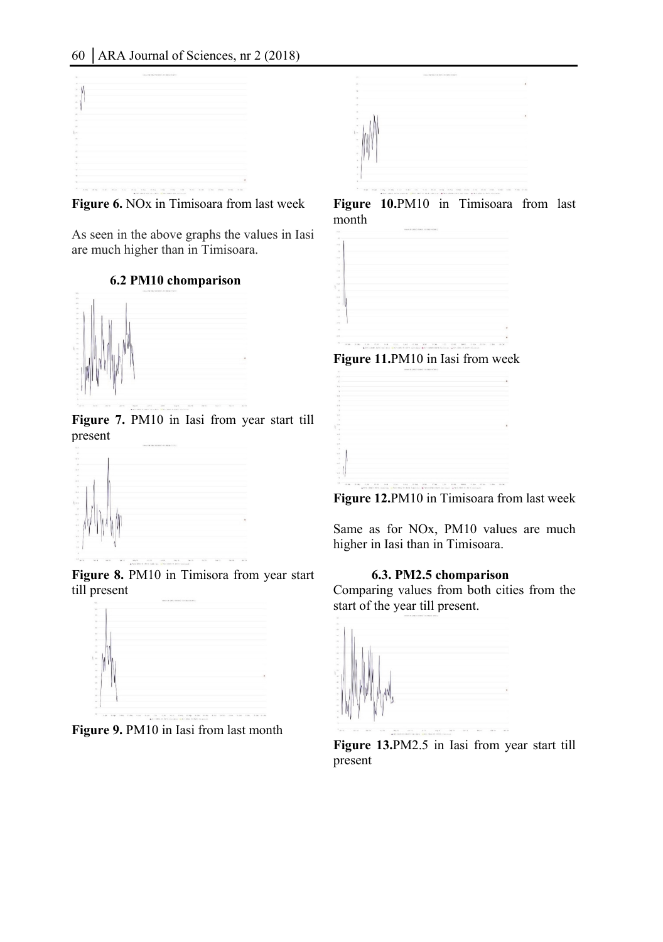

**Figure 6.** NOx in Timisoara from last week

As seen in the above graphs the values in Iasi are much higher than in Timisoara.

# **6.2 PM10 chomparison**



**Figure 7.** PM10 in Iasi from year start till present



Figure 8. PM10 in Timisora from year start till present



Figure 9. PM10 in Iasi from last month



**Figure 10.**PM10 in Timisoara from last month







**Figure 12.**PM10 in Timisoara from last week

Same as for NOx, PM10 values are much higher in Iasi than in Timisoara.

#### **6.3. PM2.5 chomparison**

Comparing values from both cities from the start of the year till present.